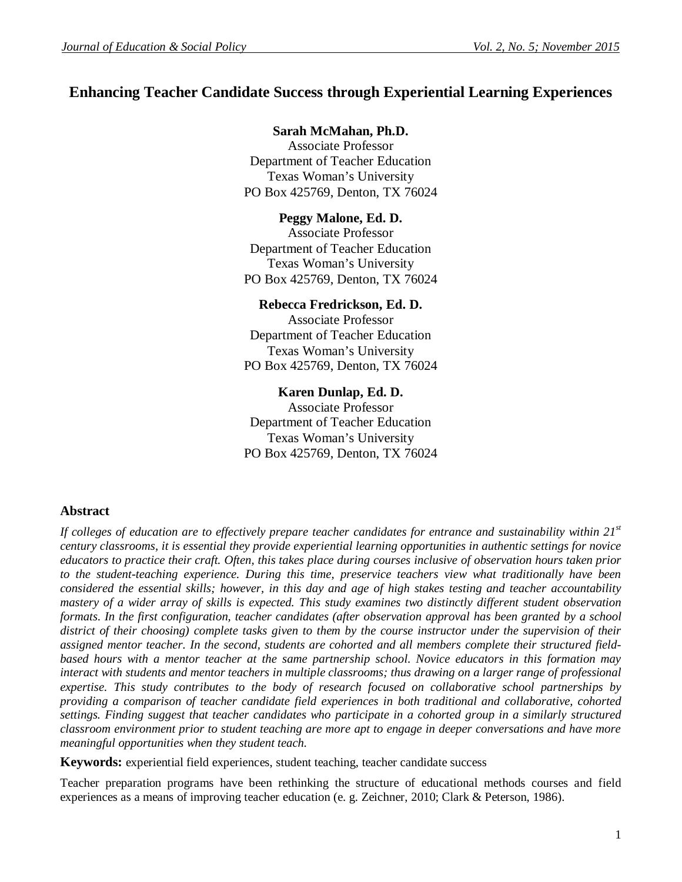# **Enhancing Teacher Candidate Success through Experiential Learning Experiences**

## **Sarah McMahan, Ph.D.**

Associate Professor Department of Teacher Education Texas Woman's University PO Box 425769, Denton, TX 76024

## **Peggy Malone, Ed. D.**

Associate Professor Department of Teacher Education Texas Woman's University PO Box 425769, Denton, TX 76024

## **Rebecca Fredrickson, Ed. D.**

Associate Professor Department of Teacher Education Texas Woman's University PO Box 425769, Denton, TX 76024

## **Karen Dunlap, Ed. D.**

Associate Professor Department of Teacher Education Texas Woman's University PO Box 425769, Denton, TX 76024

## **Abstract**

*If colleges of education are to effectively prepare teacher candidates for entrance and sustainability within 21st century classrooms, it is essential they provide experiential learning opportunities in authentic settings for novice educators to practice their craft. Often, this takes place during courses inclusive of observation hours taken prior to the student-teaching experience. During this time, preservice teachers view what traditionally have been considered the essential skills; however, in this day and age of high stakes testing and teacher accountability mastery of a wider array of skills is expected. This study examines two distinctly different student observation formats. In the first configuration, teacher candidates (after observation approval has been granted by a school district of their choosing) complete tasks given to them by the course instructor under the supervision of their assigned mentor teacher. In the second, students are cohorted and all members complete their structured fieldbased hours with a mentor teacher at the same partnership school. Novice educators in this formation may*  interact with students and mentor teachers in multiple classrooms; thus drawing on a larger range of professional *expertise. This study contributes to the body of research focused on collaborative school partnerships by providing a comparison of teacher candidate field experiences in both traditional and collaborative, cohorted settings. Finding suggest that teacher candidates who participate in a cohorted group in a similarly structured classroom environment prior to student teaching are more apt to engage in deeper conversations and have more meaningful opportunities when they student teach.*

**Keywords:** experiential field experiences, student teaching, teacher candidate success

Teacher preparation programs have been rethinking the structure of educational methods courses and field experiences as a means of improving teacher education (e. g. Zeichner, 2010; Clark & Peterson, 1986).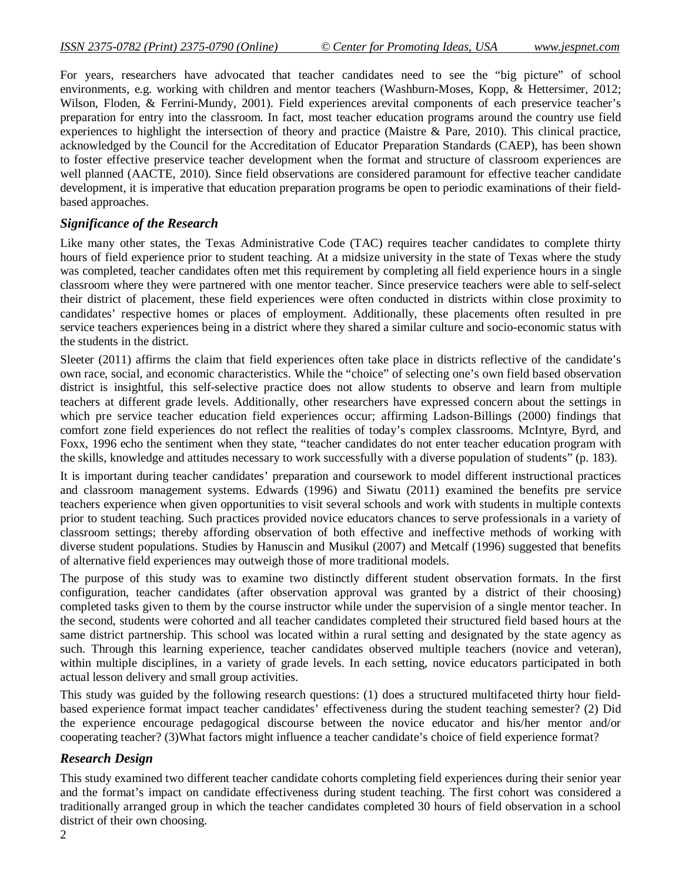For years, researchers have advocated that teacher candidates need to see the "big picture" of school environments, e.g. working with children and mentor teachers (Washburn-Moses, Kopp, & Hettersimer, 2012; Wilson, Floden, & Ferrini-Mundy, 2001). Field experiences arevital components of each preservice teacher's preparation for entry into the classroom. In fact, most teacher education programs around the country use field experiences to highlight the intersection of theory and practice (Maistre & Pare, 2010). This clinical practice, acknowledged by the Council for the Accreditation of Educator Preparation Standards (CAEP), has been shown to foster effective preservice teacher development when the format and structure of classroom experiences are well planned (AACTE, 2010). Since field observations are considered paramount for effective teacher candidate development, it is imperative that education preparation programs be open to periodic examinations of their fieldbased approaches.

### *Significance of the Research*

Like many other states, the Texas Administrative Code (TAC) requires teacher candidates to complete thirty hours of field experience prior to student teaching. At a midsize university in the state of Texas where the study was completed, teacher candidates often met this requirement by completing all field experience hours in a single classroom where they were partnered with one mentor teacher. Since preservice teachers were able to self-select their district of placement, these field experiences were often conducted in districts within close proximity to candidates' respective homes or places of employment. Additionally, these placements often resulted in pre service teachers experiences being in a district where they shared a similar culture and socio-economic status with the students in the district.

Sleeter (2011) affirms the claim that field experiences often take place in districts reflective of the candidate's own race, social, and economic characteristics. While the "choice" of selecting one's own field based observation district is insightful, this self-selective practice does not allow students to observe and learn from multiple teachers at different grade levels. Additionally, other researchers have expressed concern about the settings in which pre service teacher education field experiences occur; affirming Ladson-Billings (2000) findings that comfort zone field experiences do not reflect the realities of today's complex classrooms. McIntyre, Byrd, and Foxx, 1996 echo the sentiment when they state, "teacher candidates do not enter teacher education program with the skills, knowledge and attitudes necessary to work successfully with a diverse population of students" (p. 183).

It is important during teacher candidates' preparation and coursework to model different instructional practices and classroom management systems. Edwards (1996) and Siwatu (2011) examined the benefits pre service teachers experience when given opportunities to visit several schools and work with students in multiple contexts prior to student teaching. Such practices provided novice educators chances to serve professionals in a variety of classroom settings; thereby affording observation of both effective and ineffective methods of working with diverse student populations. Studies by Hanuscin and Musikul (2007) and Metcalf (1996) suggested that benefits of alternative field experiences may outweigh those of more traditional models.

The purpose of this study was to examine two distinctly different student observation formats. In the first configuration, teacher candidates (after observation approval was granted by a district of their choosing) completed tasks given to them by the course instructor while under the supervision of a single mentor teacher. In the second, students were cohorted and all teacher candidates completed their structured field based hours at the same district partnership. This school was located within a rural setting and designated by the state agency as such. Through this learning experience, teacher candidates observed multiple teachers (novice and veteran), within multiple disciplines, in a variety of grade levels. In each setting, novice educators participated in both actual lesson delivery and small group activities.

This study was guided by the following research questions: (1) does a structured multifaceted thirty hour fieldbased experience format impact teacher candidates' effectiveness during the student teaching semester? (2) Did the experience encourage pedagogical discourse between the novice educator and his/her mentor and/or cooperating teacher? (3)What factors might influence a teacher candidate's choice of field experience format?

## *Research Design*

This study examined two different teacher candidate cohorts completing field experiences during their senior year and the format's impact on candidate effectiveness during student teaching. The first cohort was considered a traditionally arranged group in which the teacher candidates completed 30 hours of field observation in a school district of their own choosing.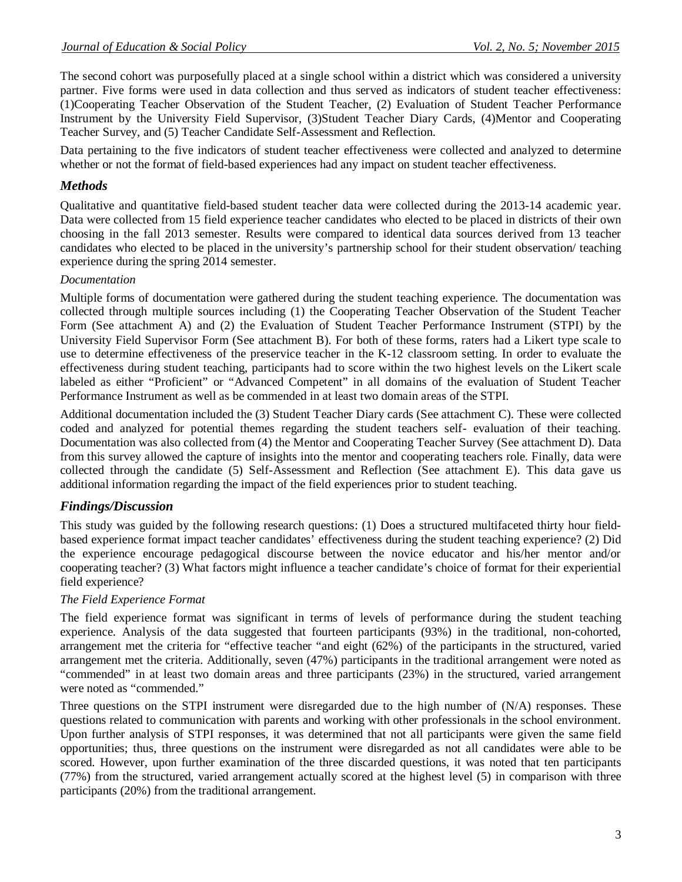The second cohort was purposefully placed at a single school within a district which was considered a university partner. Five forms were used in data collection and thus served as indicators of student teacher effectiveness: (1)Cooperating Teacher Observation of the Student Teacher, (2) Evaluation of Student Teacher Performance Instrument by the University Field Supervisor, (3)Student Teacher Diary Cards, (4)Mentor and Cooperating Teacher Survey, and (5) Teacher Candidate Self-Assessment and Reflection.

Data pertaining to the five indicators of student teacher effectiveness were collected and analyzed to determine whether or not the format of field-based experiences had any impact on student teacher effectiveness.

## *Methods*

Qualitative and quantitative field-based student teacher data were collected during the 2013-14 academic year. Data were collected from 15 field experience teacher candidates who elected to be placed in districts of their own choosing in the fall 2013 semester. Results were compared to identical data sources derived from 13 teacher candidates who elected to be placed in the university's partnership school for their student observation/ teaching experience during the spring 2014 semester.

## *Documentation*

Multiple forms of documentation were gathered during the student teaching experience. The documentation was collected through multiple sources including (1) the Cooperating Teacher Observation of the Student Teacher Form (See attachment A) and (2) the Evaluation of Student Teacher Performance Instrument (STPI) by the University Field Supervisor Form (See attachment B). For both of these forms, raters had a Likert type scale to use to determine effectiveness of the preservice teacher in the K-12 classroom setting. In order to evaluate the effectiveness during student teaching, participants had to score within the two highest levels on the Likert scale labeled as either "Proficient" or "Advanced Competent" in all domains of the evaluation of Student Teacher Performance Instrument as well as be commended in at least two domain areas of the STPI.

Additional documentation included the (3) Student Teacher Diary cards (See attachment C). These were collected coded and analyzed for potential themes regarding the student teachers self- evaluation of their teaching. Documentation was also collected from (4) the Mentor and Cooperating Teacher Survey (See attachment D). Data from this survey allowed the capture of insights into the mentor and cooperating teachers role. Finally, data were collected through the candidate (5) Self-Assessment and Reflection (See attachment E). This data gave us additional information regarding the impact of the field experiences prior to student teaching.

# *Findings/Discussion*

This study was guided by the following research questions: (1) Does a structured multifaceted thirty hour fieldbased experience format impact teacher candidates' effectiveness during the student teaching experience? (2) Did the experience encourage pedagogical discourse between the novice educator and his/her mentor and/or cooperating teacher? (3) What factors might influence a teacher candidate's choice of format for their experiential field experience?

## *The Field Experience Format*

The field experience format was significant in terms of levels of performance during the student teaching experience. Analysis of the data suggested that fourteen participants (93%) in the traditional, non-cohorted, arrangement met the criteria for "effective teacher "and eight (62%) of the participants in the structured, varied arrangement met the criteria. Additionally, seven (47%) participants in the traditional arrangement were noted as "commended" in at least two domain areas and three participants (23%) in the structured, varied arrangement were noted as "commended."

Three questions on the STPI instrument were disregarded due to the high number of (N/A) responses. These questions related to communication with parents and working with other professionals in the school environment. Upon further analysis of STPI responses, it was determined that not all participants were given the same field opportunities; thus, three questions on the instrument were disregarded as not all candidates were able to be scored. However, upon further examination of the three discarded questions, it was noted that ten participants (77%) from the structured, varied arrangement actually scored at the highest level (5) in comparison with three participants (20%) from the traditional arrangement.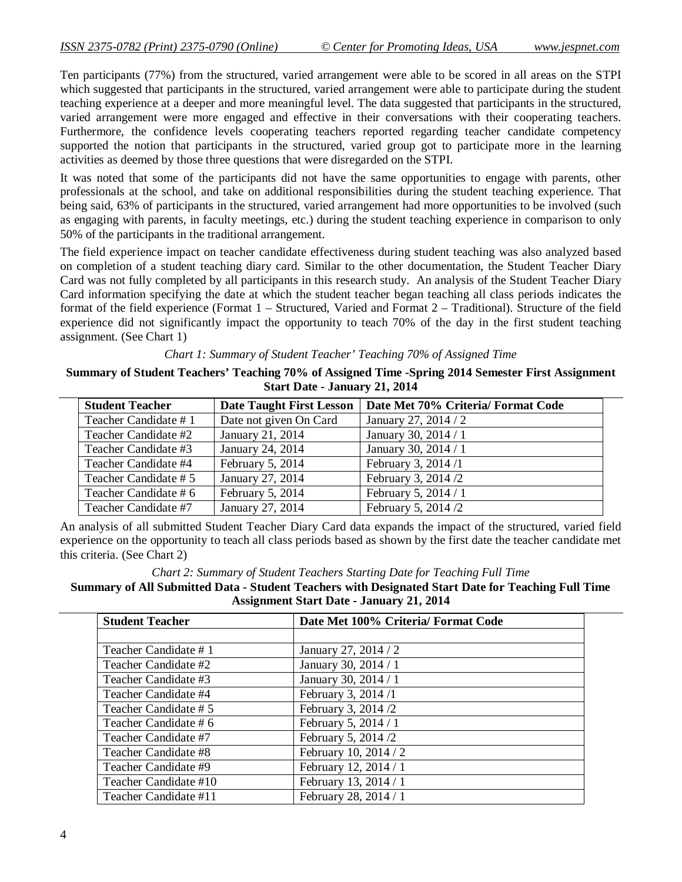Ten participants (77%) from the structured, varied arrangement were able to be scored in all areas on the STPI which suggested that participants in the structured, varied arrangement were able to participate during the student teaching experience at a deeper and more meaningful level. The data suggested that participants in the structured, varied arrangement were more engaged and effective in their conversations with their cooperating teachers. Furthermore, the confidence levels cooperating teachers reported regarding teacher candidate competency supported the notion that participants in the structured, varied group got to participate more in the learning activities as deemed by those three questions that were disregarded on the STPI.

It was noted that some of the participants did not have the same opportunities to engage with parents, other professionals at the school, and take on additional responsibilities during the student teaching experience. That being said, 63% of participants in the structured, varied arrangement had more opportunities to be involved (such as engaging with parents, in faculty meetings, etc.) during the student teaching experience in comparison to only 50% of the participants in the traditional arrangement.

The field experience impact on teacher candidate effectiveness during student teaching was also analyzed based on completion of a student teaching diary card. Similar to the other documentation, the Student Teacher Diary Card was not fully completed by all participants in this research study. An analysis of the Student Teacher Diary Card information specifying the date at which the student teacher began teaching all class periods indicates the format of the field experience (Format 1 – Structured, Varied and Format 2 – Traditional). Structure of the field experience did not significantly impact the opportunity to teach 70% of the day in the first student teaching assignment. (See Chart 1)

*Chart 1: Summary of Student Teacher' Teaching 70% of Assigned Time*

**Summary of Student Teachers' Teaching 70% of Assigned Time -Spring 2014 Semester First Assignment Start Date - January 21, 2014**

| <b>Student Teacher</b> | <b>Date Taught First Lesson</b> | Date Met 70% Criteria/ Format Code |
|------------------------|---------------------------------|------------------------------------|
| Teacher Candidate #1   | Date not given On Card          | January 27, 2014 / 2               |
| Teacher Candidate #2   | January 21, 2014                | January 30, 2014 / 1               |
| Teacher Candidate #3   | January 24, 2014                | January 30, 2014 / 1               |
| Teacher Candidate #4   | February 5, 2014                | February 3, 2014 /1                |
| Teacher Candidate # 5  | January 27, 2014                | February 3, 2014 /2                |
| Teacher Candidate # 6  | February 5, 2014                | February 5, 2014 / 1               |
| Teacher Candidate #7   | January 27, 2014                | February 5, 2014 /2                |

An analysis of all submitted Student Teacher Diary Card data expands the impact of the structured, varied field experience on the opportunity to teach all class periods based as shown by the first date the teacher candidate met this criteria. (See Chart 2)

#### *Chart 2: Summary of Student Teachers Starting Date for Teaching Full Time*

### **Summary of All Submitted Data - Student Teachers with Designated Start Date for Teaching Full Time Assignment Start Date - January 21, 2014**

| <b>Student Teacher</b> | Date Met 100% Criteria/ Format Code |
|------------------------|-------------------------------------|
|                        |                                     |
| Teacher Candidate #1   | January 27, 2014 / 2                |
| Teacher Candidate #2   | January 30, 2014 / 1                |
| Teacher Candidate #3   | January 30, 2014 / 1                |
| Teacher Candidate #4   | February 3, 2014 /1                 |
| Teacher Candidate # 5  | February 3, 2014 /2                 |
| Teacher Candidate # 6  | February 5, 2014 / 1                |
| Teacher Candidate #7   | February 5, 2014 /2                 |
| Teacher Candidate #8   | February 10, 2014 / 2               |
| Teacher Candidate #9   | February 12, 2014 / 1               |
| Teacher Candidate #10  | February 13, 2014 / 1               |
| Teacher Candidate #11  | February 28, 2014 / 1               |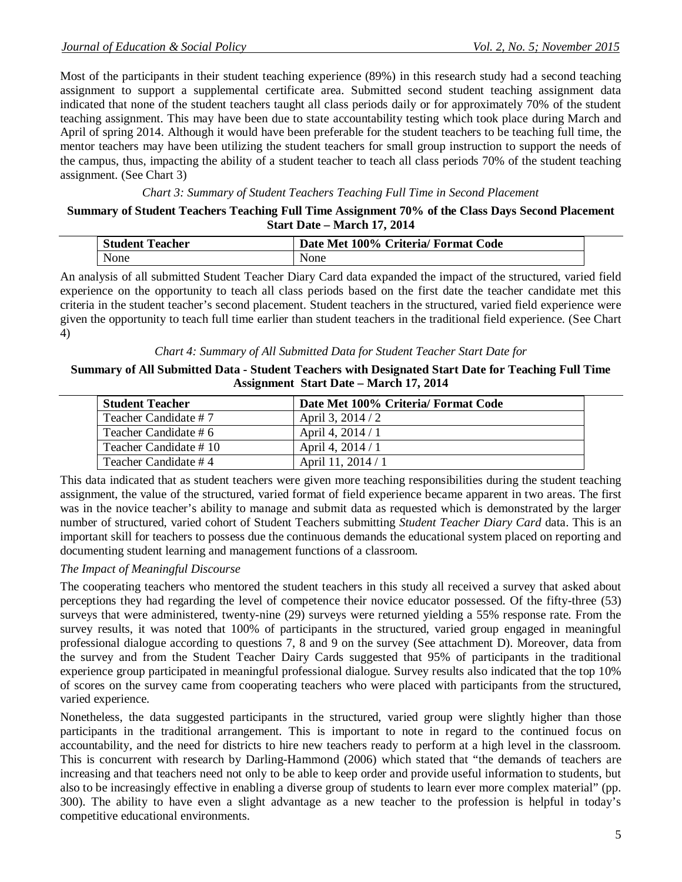Most of the participants in their student teaching experience (89%) in this research study had a second teaching assignment to support a supplemental certificate area. Submitted second student teaching assignment data indicated that none of the student teachers taught all class periods daily or for approximately 70% of the student teaching assignment. This may have been due to state accountability testing which took place during March and April of spring 2014. Although it would have been preferable for the student teachers to be teaching full time, the mentor teachers may have been utilizing the student teachers for small group instruction to support the needs of the campus, thus, impacting the ability of a student teacher to teach all class periods 70% of the student teaching assignment. (See Chart 3)

### *Chart 3: Summary of Student Teachers Teaching Full Time in Second Placement*

### **Summary of Student Teachers Teaching Full Time Assignment 70% of the Class Days Second Placement Start Date – March 17, 2014**

| <b>Student</b><br>'eacher | 100%<br>Date<br>∴ode<br>Criteria/ Format  <br>-Net |
|---------------------------|----------------------------------------------------|
| None                      | None                                               |

An analysis of all submitted Student Teacher Diary Card data expanded the impact of the structured, varied field experience on the opportunity to teach all class periods based on the first date the teacher candidate met this criteria in the student teacher's second placement. Student teachers in the structured, varied field experience were given the opportunity to teach full time earlier than student teachers in the traditional field experience. (See Chart 4)

### *Chart 4: Summary of All Submitted Data for Student Teacher Start Date for*

### **Summary of All Submitted Data - Student Teachers with Designated Start Date for Teaching Full Time Assignment Start Date – March 17, 2014**

| <b>Student Teacher</b> | Date Met 100% Criteria/ Format Code |
|------------------------|-------------------------------------|
| Teacher Candidate #7   | April 3, $2014/2$                   |
| Teacher Candidate # 6  | April 4, 2014 / 1                   |
| Teacher Candidate #10  | April 4, 2014 / 1                   |
| l Teacher Candidate #4 | April 11, 2014 / 1                  |

This data indicated that as student teachers were given more teaching responsibilities during the student teaching assignment, the value of the structured, varied format of field experience became apparent in two areas. The first was in the novice teacher's ability to manage and submit data as requested which is demonstrated by the larger number of structured, varied cohort of Student Teachers submitting *Student Teacher Diary Card* data. This is an important skill for teachers to possess due the continuous demands the educational system placed on reporting and documenting student learning and management functions of a classroom.

## *The Impact of Meaningful Discourse*

The cooperating teachers who mentored the student teachers in this study all received a survey that asked about perceptions they had regarding the level of competence their novice educator possessed. Of the fifty-three (53) surveys that were administered, twenty-nine (29) surveys were returned yielding a 55% response rate. From the survey results, it was noted that 100% of participants in the structured, varied group engaged in meaningful professional dialogue according to questions 7, 8 and 9 on the survey (See attachment D). Moreover, data from the survey and from the Student Teacher Dairy Cards suggested that 95% of participants in the traditional experience group participated in meaningful professional dialogue. Survey results also indicated that the top 10% of scores on the survey came from cooperating teachers who were placed with participants from the structured, varied experience.

Nonetheless, the data suggested participants in the structured, varied group were slightly higher than those participants in the traditional arrangement. This is important to note in regard to the continued focus on accountability, and the need for districts to hire new teachers ready to perform at a high level in the classroom. This is concurrent with research by Darling-Hammond (2006) which stated that "the demands of teachers are increasing and that teachers need not only to be able to keep order and provide useful information to students, but also to be increasingly effective in enabling a diverse group of students to learn ever more complex material" (pp. 300). The ability to have even a slight advantage as a new teacher to the profession is helpful in today's competitive educational environments.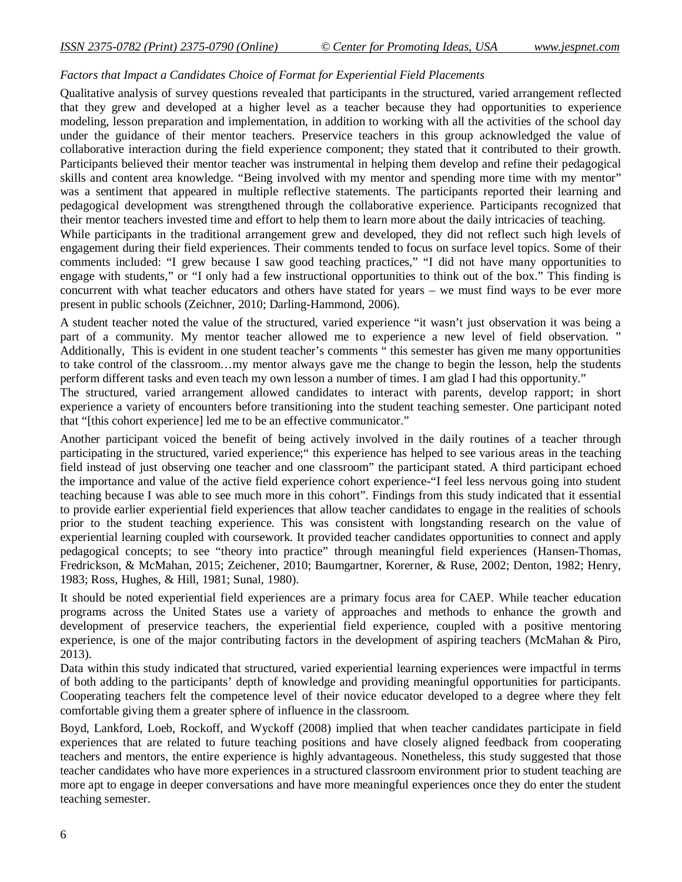## *Factors that Impact a Candidates Choice of Format for Experiential Field Placements*

Qualitative analysis of survey questions revealed that participants in the structured, varied arrangement reflected that they grew and developed at a higher level as a teacher because they had opportunities to experience modeling, lesson preparation and implementation, in addition to working with all the activities of the school day under the guidance of their mentor teachers. Preservice teachers in this group acknowledged the value of collaborative interaction during the field experience component; they stated that it contributed to their growth. Participants believed their mentor teacher was instrumental in helping them develop and refine their pedagogical skills and content area knowledge. "Being involved with my mentor and spending more time with my mentor" was a sentiment that appeared in multiple reflective statements. The participants reported their learning and pedagogical development was strengthened through the collaborative experience. Participants recognized that their mentor teachers invested time and effort to help them to learn more about the daily intricacies of teaching. While participants in the traditional arrangement grew and developed, they did not reflect such high levels of engagement during their field experiences. Their comments tended to focus on surface level topics. Some of their comments included: "I grew because I saw good teaching practices," "I did not have many opportunities to engage with students," or "I only had a few instructional opportunities to think out of the box." This finding is concurrent with what teacher educators and others have stated for years – we must find ways to be ever more present in public schools (Zeichner, 2010; Darling-Hammond, 2006).

A student teacher noted the value of the structured, varied experience "it wasn't just observation it was being a part of a community. My mentor teacher allowed me to experience a new level of field observation. " Additionally, This is evident in one student teacher's comments " this semester has given me many opportunities to take control of the classroom…my mentor always gave me the change to begin the lesson, help the students perform different tasks and even teach my own lesson a number of times. I am glad I had this opportunity."

The structured, varied arrangement allowed candidates to interact with parents, develop rapport; in short experience a variety of encounters before transitioning into the student teaching semester. One participant noted that "[this cohort experience] led me to be an effective communicator."

Another participant voiced the benefit of being actively involved in the daily routines of a teacher through participating in the structured, varied experience;" this experience has helped to see various areas in the teaching field instead of just observing one teacher and one classroom" the participant stated. A third participant echoed the importance and value of the active field experience cohort experience-"I feel less nervous going into student teaching because I was able to see much more in this cohort". Findings from this study indicated that it essential to provide earlier experiential field experiences that allow teacher candidates to engage in the realities of schools prior to the student teaching experience. This was consistent with longstanding research on the value of experiential learning coupled with coursework. It provided teacher candidates opportunities to connect and apply pedagogical concepts; to see "theory into practice" through meaningful field experiences (Hansen-Thomas, Fredrickson, & McMahan, 2015; Zeichener, 2010; Baumgartner, Korerner, & Ruse, 2002; Denton, 1982; Henry, 1983; Ross, Hughes, & Hill, 1981; Sunal, 1980).

It should be noted experiential field experiences are a primary focus area for CAEP. While teacher education programs across the United States use a variety of approaches and methods to enhance the growth and development of preservice teachers, the experiential field experience, coupled with a positive mentoring experience, is one of the major contributing factors in the development of aspiring teachers (McMahan & Piro, 2013).

Data within this study indicated that structured, varied experiential learning experiences were impactful in terms of both adding to the participants' depth of knowledge and providing meaningful opportunities for participants. Cooperating teachers felt the competence level of their novice educator developed to a degree where they felt comfortable giving them a greater sphere of influence in the classroom.

Boyd, Lankford, Loeb, Rockoff, and Wyckoff (2008) implied that when teacher candidates participate in field experiences that are related to future teaching positions and have closely aligned feedback from cooperating teachers and mentors, the entire experience is highly advantageous. Nonetheless, this study suggested that those teacher candidates who have more experiences in a structured classroom environment prior to student teaching are more apt to engage in deeper conversations and have more meaningful experiences once they do enter the student teaching semester.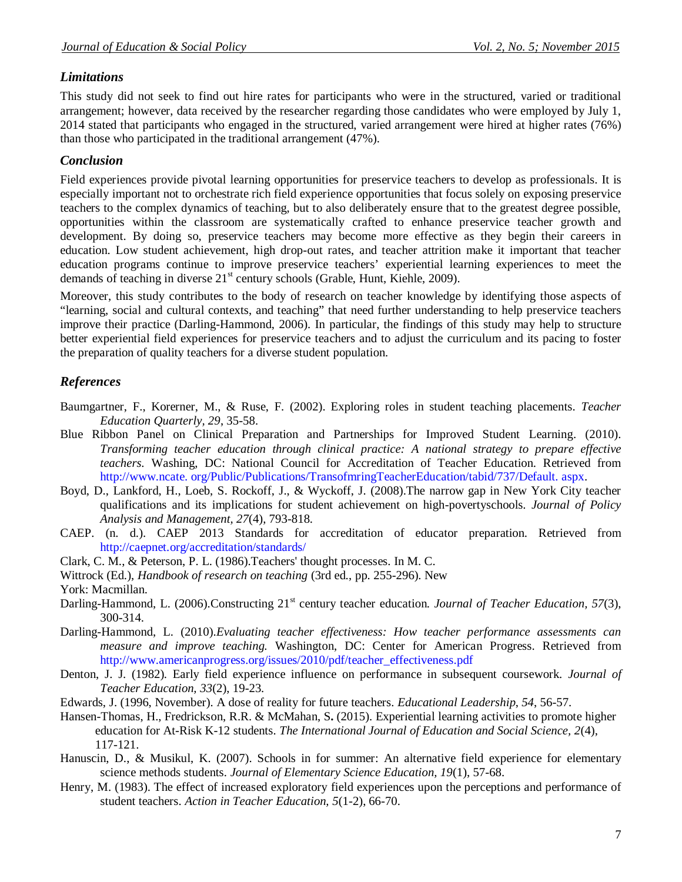# *Limitations*

This study did not seek to find out hire rates for participants who were in the structured, varied or traditional arrangement; however, data received by the researcher regarding those candidates who were employed by July 1, 2014 stated that participants who engaged in the structured, varied arrangement were hired at higher rates (76%) than those who participated in the traditional arrangement (47%).

# *Conclusion*

Field experiences provide pivotal learning opportunities for preservice teachers to develop as professionals. It is especially important not to orchestrate rich field experience opportunities that focus solely on exposing preservice teachers to the complex dynamics of teaching, but to also deliberately ensure that to the greatest degree possible, opportunities within the classroom are systematically crafted to enhance preservice teacher growth and development. By doing so, preservice teachers may become more effective as they begin their careers in education. Low student achievement, high drop-out rates, and teacher attrition make it important that teacher education programs continue to improve preservice teachers' experiential learning experiences to meet the demands of teaching in diverse  $21<sup>st</sup>$  century schools (Grable, Hunt, Kiehle, 2009).

Moreover, this study contributes to the body of research on teacher knowledge by identifying those aspects of "learning, social and cultural contexts, and teaching" that need further understanding to help preservice teachers improve their practice (Darling-Hammond, 2006). In particular, the findings of this study may help to structure better experiential field experiences for preservice teachers and to adjust the curriculum and its pacing to foster the preparation of quality teachers for a diverse student population.

# *References*

- Baumgartner, F., Korerner, M., & Ruse, F. (2002). Exploring roles in student teaching placements. *Teacher Education Quarterly, 29*, 35-58.
- Blue Ribbon Panel on Clinical Preparation and Partnerships for Improved Student Learning. (2010). *Transforming teacher education through clinical practice: A national strategy to prepare effective teachers.* Washing, DC: National Council for Accreditation of Teacher Education. Retrieved from http://www.ncate. org/Public/Publications/TransofmringTeacherEducation/tabid/737/Default. aspx.
- Boyd, D., Lankford, H., Loeb, S. Rockoff, J., & Wyckoff, J. (2008).The narrow gap in New York City teacher qualifications and its implications for student achievement on high-povertyschools. *Journal of Policy Analysis and Management, 27*(4), 793-818.
- CAEP. (n. d.). CAEP 2013 Standards for accreditation of educator preparation. Retrieved from http://caepnet.org/accreditation/standards/
- Clark, C. M., & Peterson, P. L. (1986).Teachers' thought processes. In M. C.
- Wittrock (Ed.), *Handbook of research on teaching* (3rd ed., pp. 255-296). New
- York: Macmillan.
- Darling-Hammond, L. (2006).Constructing 21<sup>st</sup> century teacher education. Journal of Teacher Education, 57(3), 300-314.
- Darling-Hammond, L. (2010).*Evaluating teacher effectiveness: How teacher performance assessments can measure and improve teaching.* Washington, DC: Center for American Progress. Retrieved from http://www.americanprogress.org/issues/2010/pdf/teacher\_effectiveness.pdf
- Denton, J. J. (1982). Early field experience influence on performance in subsequent coursework. *Journal of Teacher Education, 33*(2), 19-23.
- Edwards, J. (1996, November). A dose of reality for future teachers. *Educational Leadership*, *54*, 56-57.
- Hansen-Thomas, H., Fredrickson, R.R. & McMahan, S**.** (2015). Experiential learning activities to promote higher education for At-Risk K-12 students. *The International Journal of Education and Social Science, 2*(4), 117-121.
- Hanuscin, D., & Musikul, K. (2007). Schools in for summer: An alternative field experience for elementary science methods students. *Journal of Elementary Science Education, 19*(1), 57-68.
- Henry, M. (1983). The effect of increased exploratory field experiences upon the perceptions and performance of student teachers. *Action in Teacher Education, 5*(1-2), 66-70.